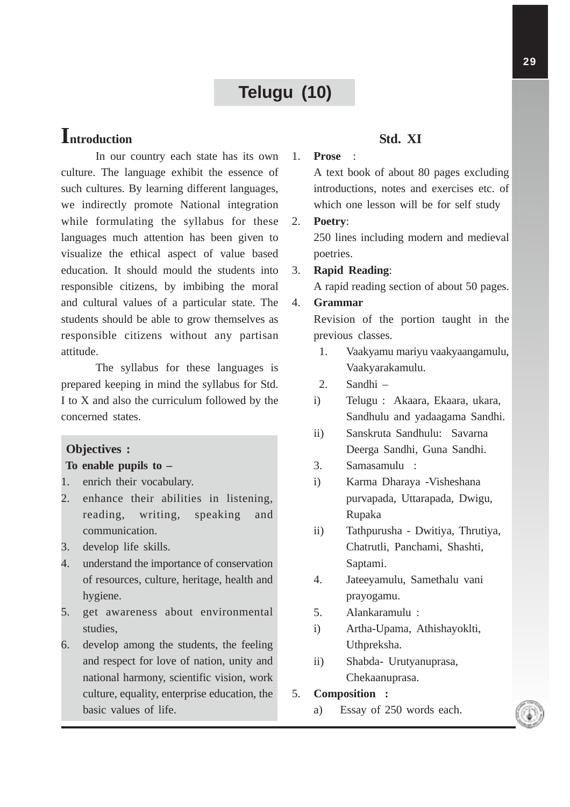# **Telugu (10)**

# **Introduction**

In our country each state has its own culture. The language exhibit the essence of such cultures. By learning different languages, we indirectly promote National integration while formulating the syllabus for these languages much attention has been given to visualize the ethical aspect of value based education. It should mould the students into responsible citizens, by imbibing the moral and cultural values of a particular state. The students should be able to grow themselves as responsible citizens without any partisan attitude.

The syllabus for these languages is prepared keeping in mind the syllabus for Std. I to X and also the curriculum followed by the concerned states.

### **Objectives :**

#### **To enable pupils to –**

- 1. enrich their vocabulary.
- 2. enhance their abilities in listening, reading, writing, speaking and communication.
- 3. develop life skills.
- 4. understand the importance of conservation of resources, culture, heritage, health and hygiene.
- 5. get awareness about environmental studies,
- 6. develop among the students, the feeling and respect for love of nation, unity and national harmony, scientific vision, work culture, equality, enterprise education, the basic values of life.

#### **Std. XI**

### 1. **Prose** :

A text book of about 80 pages excluding introductions, notes and exercises etc. of which one lesson will be for self study

#### 2. **Poetry**:

250 lines including modern and medieval poetries.

#### 3. **Rapid Reading**:

A rapid reading section of about 50 pages.

#### 4. **Grammar**

Revision of the portion taught in the previous classes.

- 1. Vaakyamu mariyu vaakyaangamulu, Vaakyarakamulu.
- 2. Sandhi –
- i) Telugu : Akaara, Ekaara, ukara, Sandhulu and yadaagama Sandhi.
- ii) Sanskruta Sandhulu: Savarna Deerga Sandhi, Guna Sandhi.
- 3. Samasamulu :
- i) Karma Dharaya -Visheshana purvapada, Uttarapada, Dwigu, Rupaka
- ii) Tathpurusha Dwitiya, Thrutiya, Chatrutli, Panchami, Shashti, Saptami.
- 4. Jateeyamulu, Samethalu vani prayogamu.
- 5. Alankaramulu :
- i) Artha-Upama, Athishayoklti, Uthpreksha.
- ii) Shabda- Urutyanuprasa, Chekaanuprasa.

5. **Composition :**

a) Essay of 250 words each.